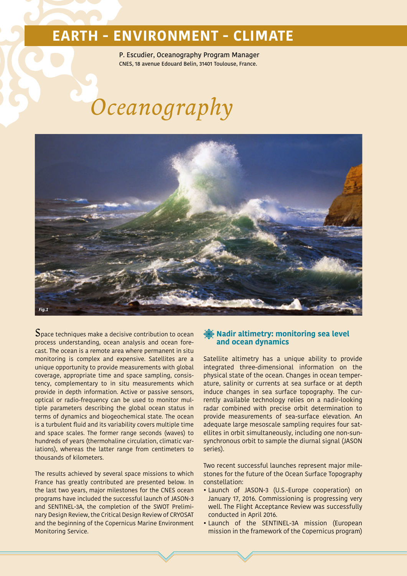# **EARTH - ENVIRONMENT - CLIMATE**

P. Escudier, Oceanography Program Manager CNES, 18 avenue Edouard Belin, 31401 Toulouse, France.

# *Oceanography*



 $\mathbf S$ pace techniques make a decisive contribution to ocean. process understanding, ocean analysis and ocean forecast. The ocean is a remote area where permanent in situ monitoring is complex and expensive. Satellites are a unique opportunity to provide measurements with global coverage, appropriate time and space sampling, consistency, complementary to in situ measurements which provide in depth information. Active or passive sensors, optical or radio-frequency can be used to monitor multiple parameters describing the global ocean status in terms of dynamics and biogeochemical state. The ocean is a turbulent fluid and its variability covers multiple time and space scales. The former range seconds (waves) to hundreds of years (thermohaline circulation, climatic variations), whereas the latter range from centimeters to thousands of kilometers.

The results achieved by several space missions to which France has greatly contributed are presented below. In the last two years, major milestones for the CNES ocean programs have included the successful launch of JASON-3 and SENTINEL-3A, the completion of the SWOT Preliminary Design Review, the Critical Design Review of CRYOSAT and the beginning of the Copernicus Marine Environment Monitoring Service.

## **Nadir altimetry: monitoring sea level and ocean dynamics**

Satellite altimetry has a unique ability to provide integrated three-dimensional information on the physical state of the ocean. Changes in ocean temperature, salinity or currents at sea surface or at depth induce changes in sea surface topography. The currently available technology relies on a nadir-looking radar combined with precise orbit determination to provide measurements of sea-surface elevation. An adequate large mesoscale sampling requires four satellites in orbit simultaneously, including one non-sunsynchronous orbit to sample the diurnal signal (JASON series).

Two recent successful launches represent major milestones for the future of the Ocean Surface Topography constellation:

- Launch of JASON-3 (U.S.-Europe cooperation) on January 17, 2016. Commissioning is progressing very well. The Flight Acceptance Review was successfully conducted in April 2016.
- Launch of the SENTINEL-3A mission (European mission in the framework of the Copernicus program)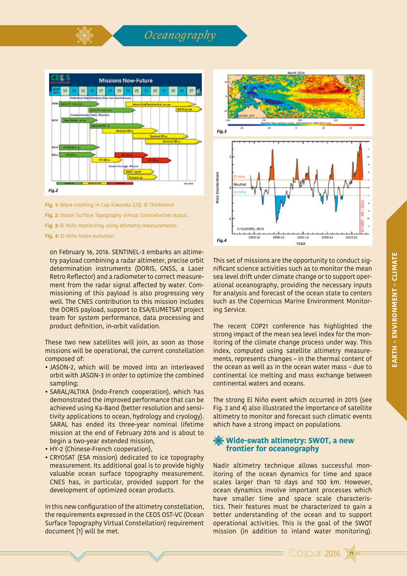

**Fig. 3:** El Niño monitoring using altimetry measurements.

**Fig. 4:** El Niño index evolution.

on February 16, 2016. SENTINEL-3 embarks an altimetry payload combining a radar altimeter, precise orbit determination instruments (DORIS, GNSS, a Laser Retro Reflector) and a radiometer to correct measurement from the radar signal affected by water. Commissioning of this payload is also progressing very well. The CNES contribution to this mission includes the DORIS payload, support to ESA/EUMETSAT project team for system performance, data processing and product definition, in-orbit validation.

These two new satellites will join, as soon as those missions will be operational, the current constellation composed of:

- JASON-2, which will be moved into an interleaved orbit with JASON-3 in order to optimize the combined sampling;
- SARAL/ALTIKA (Indo-French cooperation), which has demonstrated the improved performance that can be achieved using Ka-Band (better resolution and sensitivity applications to ocean, hydrology and cryology). SARAL has ended its three-year nominal lifetime mission at the end of February 2016 and is about to begin a two-year extended mission,
- HY-2 (Chinese-French cooperation),
- CRYOSAT (ESA mission) dedicated to ice topography measurement. Its additional goal is to provide highly valuable ocean surface topography measurement. CNES has, in particular, provided support for the development of optimized ocean products.

In this new configuration of the altimetry constellation, the requirements expressed in the CEOS OST-VC (Ocean Surface Topography Virtual Constellation) requirement document [1] will be met.



This set of missions are the opportunity to conduct significant science activities such as to monitor the mean sea level drift under climate change or to support operational oceanography, providing the necessary inputs for analysis and forecast of the ocean state to centers such as the Copernicus Marine Environment Monitoring Service.

The recent COP21 conference has highlighted the strong impact of the mean sea level index for the monitoring of the climate change process under way. This index, computed using satellite altimetry measurements, represents changes – in the thermal content of the ocean as well as in the ocean water mass – due to continental ice melting and mass exchange between continental waters and oceans.

The strong El Niño event which occurred in 2015 (see Fig. 3 and 4) also illustrated the importance of satellite altimetry to monitor and forecast such climatic events which have a strong impact on populations.

## **Wide-swath altimetry: SWOT, a new frontier for oceanography**

Nadir altimetry technique allows successful monitoring of the ocean dynamics for time and space scales larger than 10 days and 100 km. However, ocean dynamics involve important processes which have smaller time and space scale characteristics. Their features must be characterized to gain a better understanding of the ocean and to support operational activities. This is the goal of the SWOT mission (in addition to inland water monitoring).

71

**Cosper 2016**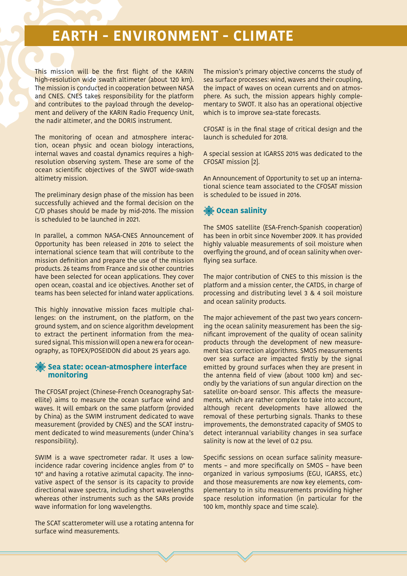# **EARTH - ENVIRONMENT - CLIMATE**

This mission will be the first flight of the KARIN high-resolution wide swath altimeter (about 120 km). The mission is conducted in cooperation between NASA and CNES. CNES takes responsibility for the platform and contributes to the payload through the development and delivery of the KARIN Radio Frequency Unit, the nadir altimeter, and the DORIS instrument.

The monitoring of ocean and atmosphere interaction, ocean physic and ocean biology interactions, internal waves and coastal dynamics requires a highresolution observing system. These are some of the ocean scientific objectives of the SWOT wide-swath altimetry mission.

The preliminary design phase of the mission has been successfully achieved and the formal decision on the C/D phases should be made by mid-2016. The mission is scheduled to be launched in 2021.

In parallel, a common NASA-CNES Announcement of Opportunity has been released in 2016 to select the international science team that will contribute to the mission definition and prepare the use of the mission products. 26 teams from France and six other countries have been selected for ocean applications. They cover open ocean, coastal and ice objectives. Another set of teams has been selected for inland water applications.

This highly innovative mission faces multiple challenges: on the instrument, on the platform, on the ground system, and on science algorithm development to extract the pertinent information from the measured signal. This mission will open a new era for oceanography, as TOPEX/POSEIDON did about 25 years ago.

## **Sea state: ocean-atmosphere interface monitoring**

The CFOSAT project (Chinese-French Oceanography Satellite) aims to measure the ocean surface wind and waves. It will embark on the same platform (provided by China) as the SWIM instrument dedicated to wave measurement (provided by CNES) and the SCAT instrument dedicated to wind measurements (under China's responsibility).

SWIM is a wave spectrometer radar. It uses a lowincidence radar covering incidence angles from 0° to 10° and having a rotative azimutal capacity. The innovative aspect of the sensor is its capacity to provide directional wave spectra, including short wavelengths whereas other instruments such as the SARs provide wave information for long wavelengths.

The SCAT scatterometer will use a rotating antenna for surface wind measurements.

The mission's primary objective concerns the study of sea surface processes: wind, waves and their coupling, the impact of waves on ocean currents and on atmosphere. As such, the mission appears highly complementary to SWOT. It also has an operational objective which is to improve sea-state forecasts.

CFOSAT is in the final stage of critical design and the launch is scheduled for 2018.

A special session at IGARSS 2015 was dedicated to the CFOSAT mission [2].

An Announcement of Opportunity to set up an international science team associated to the CFOSAT mission is scheduled to be issued in 2016.

## *S* Ocean salinity

The SMOS satellite (ESA-French-Spanish cooperation) has been in orbit since November 2009. It has provided highly valuable measurements of soil moisture when overflying the ground, and of ocean salinity when overflying sea surface.

The major contribution of CNES to this mission is the platform and a mission center, the CATDS, in charge of processing and distributing level 3 & 4 soil moisture and ocean salinity products.

The major achievement of the past two years concerning the ocean salinity measurement has been the significant improvement of the quality of ocean salinity products through the development of new measurement bias correction algorithms. SMOS measurements over sea surface are impacted firstly by the signal emitted by ground surfaces when they are present in the antenna field of view (about 1000 km) and secondly by the variations of sun angular direction on the satellite on-board sensor. This affects the measurements, which are rather complex to take into account, although recent developments have allowed the removal of these perturbing signals. Thanks to these improvements, the demonstrated capacity of SMOS to detect interannual variability changes in sea surface salinity is now at the level of 0.2 psu.

Specific sessions on ocean surface salinity measurements – and more specifically on SMOS – have been organized in various symposiums (EGU, IGARSS, etc.) and those measurements are now key elements, complementary to in situ measurements providing higher space resolution information (in particular for the 100 km, monthly space and time scale).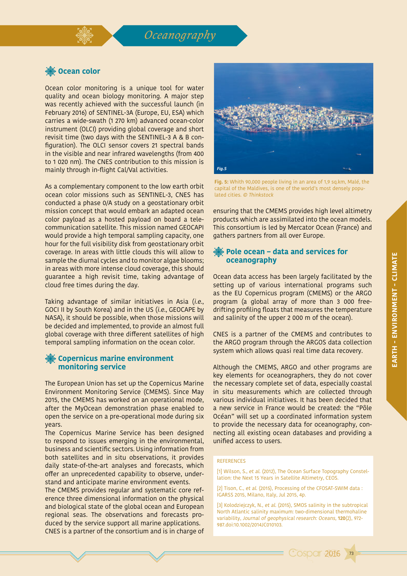# *Oceanography*

# *※ Ocean color*

Ocean color monitoring is a unique tool for water quality and ocean biology monitoring. A major step was recently achieved with the successful launch (in February 2016) of SENTINEL-3A (Europe, EU, ESA) which carries a wide-swath (1 270 km) advanced ocean-color instrument (OLCI) providing global coverage and short revisit time (two days with the SENTINEL-3 A & B configuration). The OLCI sensor covers 21 spectral bands in the visible and near infrared wavelengths (from 400 to 1 020 nm). The CNES contribution to this mission is mainly through in-flight Cal/Val activities.

As a complementary component to the low earth orbit ocean color missions such as SENTINEL-3, CNES has conducted a phase 0/A study on a geostationary orbit mission concept that would embark an adapted ocean color payload as a hosted payload on board a telecommunication satellite. This mission named GEOCAPI would provide a high temporal sampling capacity, one hour for the full visibility disk from geostationary orbit coverage. In areas with little clouds this will allow to sample the diurnal cycles and to monitor algae blooms; in areas with more intense cloud coverage, this should guarantee a high revisit time, taking advantage of cloud free times during the day.

Taking advantage of similar initiatives in Asia (i.e., GOCI II by South Korea) and in the US (i.e., GEOCAPE by NASA), it should be possible, when those missions will be decided and implemented, to provide an almost full global coverage with three different satellites of high temporal sampling information on the ocean color.

## **Copernicus marine environment monitoring service**

The European Union has set up the Copernicus Marine Environment Monitoring Service (CMEMS). Since May 2015, the CMEMS has worked on an operational mode, after the MyOcean demonstration phase enabled to open the service on a pre-operational mode during six years.

The Copernicus Marine Service has been designed to respond to issues emerging in the environmental, business and scientific sectors. Using information from both satellites and in situ observations, it provides daily state-of-the-art analyses and forecasts, which offer an unprecedented capability to observe, understand and anticipate marine environment events.

The CMEMS provides regular and systematic core reference three dimensional information on the physical and biological state of the global ocean and European regional seas. The observations and forecasts produced by the service support all marine applications. CNES is a partner of the consortium and is in charge of



**Fig. 5:** Whith 90,000 people living in an area of 1,9 sq.km, Malé, the capital of the Maldives, is one of the world's most densely populated cities. © Thinkstock

ensuring that the CMEMS provides high level altimetry products which are assimilated into the ocean models. This consortium is led by Mercator Ocean (France) and gathers partners from all over Europe.

#### **Pole ocean – data and services for oceanography**

Ocean data access has been largely facilitated by the setting up of various international programs such as the EU Copernicus program (CMEMS) or the ARGO program (a global array of more than 3 000 freedrifting profiling floats that measures the temperature and salinity of the upper 2 000 m of the ocean).

CNES is a partner of the CMEMS and contributes to the ARGO program through the ARGOS data collection system which allows quasi real time data recovery.

Although the CMEMS, ARGO and other programs are key elements for oceanographers, they do not cover the necessary complete set of data, especially coastal in situ measurements which are collected through various individual initiatives. It has been decided that a new service in France would be created: the "Pôle Océan" will set up a coordinated information system to provide the necessary data for oceanography, connecting all existing ocean databases and providing a unified access to users.

#### REFERENCES

[1] Wilson, S., et al. (2012), The Ocean Surface Topography Constellation: the Next 15 Years in Satellite Altimetry, CEOS.

[2] Tison, C., et al. (2015), Processing of the CFOSAT-SWIM data : IGARSS 2015, Milano, Italy, Jul 2015, 4p.

[3] Kolodziejczyk, N., et al. (2015), SMOS salinity in the subtropical North Atlantic salinity maximum: two-dimensional thermohaline variability, Journal of geophysical research: Oceans, **120**(2), 972- 987.doi:10.1002/2014JC010103.

**Cosper 2016** 

73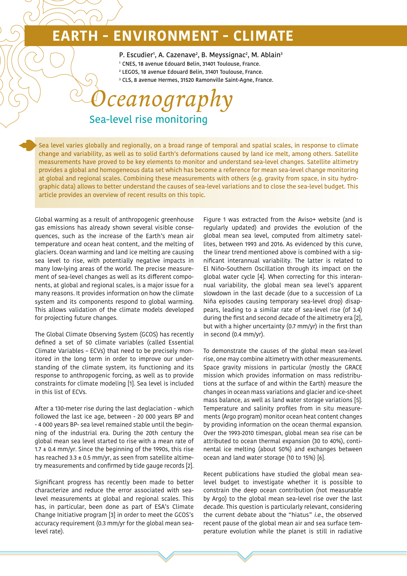# **EARTH - ENVIRONMENT - CLIMATE**

P. Escudier<sup>1</sup>, A. Cazenave<sup>2</sup>, B. Meyssignac<sup>2</sup>, M. Ablain<sup>3</sup>

1 CNES, 18 avenue Edouard Belin, 31401 Toulouse, France.

2 LEGOS, 18 avenue Edouard Belin, 31401 Toulouse, France.

3 CLS, 8 avenue Hermes, 31520 Ramonville Saint-Agne, France.

# Sea-level rise monitoring *Oceanography*

Sea level varies globally and regionally, on a broad range of temporal and spatial scales, in response to climate change and variability, as well as to solid Earth's deformations caused by land ice melt, among others. Satellite measurements have proved to be key elements to monitor and understand sea-level changes. Satellite altimetry provides a global and homogeneous data set which has become a reference for mean sea-level change monitoring at global and regional scales. Combining these measurements with others (e.g. gravity from space, in situ hydrographic data) allows to better understand the causes of sea-level variations and to close the sea-level budget. This article provides an overview of recent results on this topic.

Global warming as a result of anthropogenic greenhouse gas emissions has already shown several visible consequences, such as the increase of the Earth's mean air temperature and ocean heat content, and the melting of glaciers. Ocean warming and land ice melting are causing sea level to rise, with potentially negative impacts in many low-lying areas of the world. The precise measurement of sea-level changes as well as its different components, at global and regional scales, is a major issue for a many reasons. It provides information on how the climate system and its components respond to global warming. This allows validation of the climate models developed for projecting future changes.

The Global Climate Observing System (GCOS) has recently defined a set of 50 climate variables (called Essential Climate Variables – ECVs) that need to be precisely monitored in the long term in order to improve our understanding of the climate system, its functioning and its response to anthropogenic forcing, as well as to provide constraints for climate modeling [1]. Sea level is included in this list of ECVs.

After a 130-meter rise during the last deglaciation - which followed the last ice age, between - 20 000 years BP and - 4 000 years BP- sea level remained stable until the beginning of the industrial era. During the 20th century the global mean sea level started to rise with a mean rate of  $1.7 \pm 0.4$  mm/vr. Since the beginning of the 1990s, this rise has reached  $3.3 \pm 0.5$  mm/yr, as seen from satellite altimetry measurements and confirmed by tide gauge records [2].

Significant progress has recently been made to better characterize and reduce the error associated with sealevel measurements at global and regional scales. This has, in particular, been done as part of ESA's Climate Change Initiative program [3] in order to meet the GCOS's accuracy requirement (0.3 mm/yr for the global mean sealevel rate).

Figure 1 was extracted from the Aviso+ website (and is regularly updated) and provides the evolution of the global mean sea level, computed from altimetry satellites, between 1993 and 2016. As evidenced by this curve, the linear trend mentioned above is combined with a significant interannual variability. The latter is related to El Niño–Southern Oscillation through its impact on the global water cycle [4]. When correcting for this interannual variability, the global mean sea level's apparent slowdown in the last decade (due to a succession of La Niña episodes causing temporary sea-level drop) disappears, leading to a similar rate of sea-level rise (of 3.4) during the first and second decade of the altimetry era [2], but with a higher uncertainty (0.7 mm/yr) in the first than in second (0.4 mm/yr).

To demonstrate the causes of the global mean sea-level rise, one may combine altimetry with other measurements. Space gravity missions in particular (mostly the GRACE mission which provides information on mass redistributions at the surface of and within the Earth) measure the changes in ocean mass variations and glacier and ice-sheet mass balance, as well as land water storage variations [5]. Temperature and salinity profiles from in situ measurements (Argo program) monitor ocean heat content changes by providing information on the ocean thermal expansion. Over the 1993-2010 timespan, global mean sea rise can be attributed to ocean thermal expansion (30 to 40%), continental ice melting (about 50%) and exchanges between ocean and land water storage (10 to 15%) [6].

Recent publications have studied the global mean sealevel budget to investigate whether it is possible to constrain the deep ocean contribution (not measurable by Argo) to the global mean sea-level rise over the last decade. This question is particularly relevant, considering the current debate about the "hiatus" i.e., the observed recent pause of the global mean air and sea surface temperature evolution while the planet is still in radiative